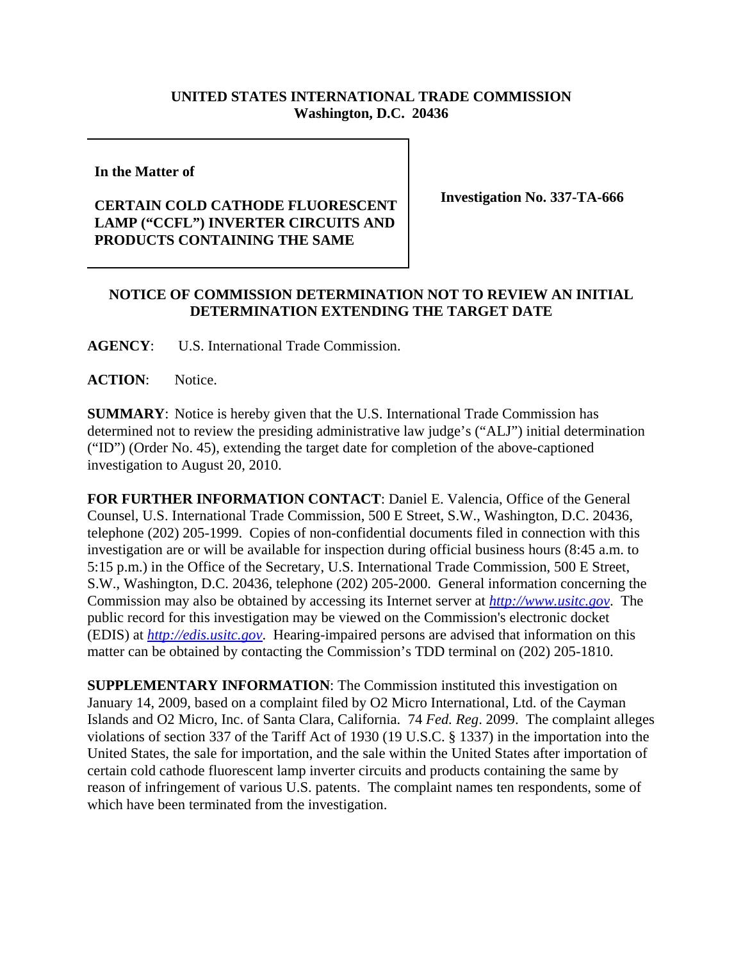## **UNITED STATES INTERNATIONAL TRADE COMMISSION Washington, D.C. 20436**

**In the Matter of** 

## **CERTAIN COLD CATHODE FLUORESCENT LAMP ("CCFL") INVERTER CIRCUITS AND PRODUCTS CONTAINING THE SAME**

**Investigation No. 337-TA-666**

## **NOTICE OF COMMISSION DETERMINATION NOT TO REVIEW AN INITIAL DETERMINATION EXTENDING THE TARGET DATE**

**AGENCY**: U.S. International Trade Commission.

ACTION: Notice.

**SUMMARY**: Notice is hereby given that the U.S. International Trade Commission has determined not to review the presiding administrative law judge's ("ALJ") initial determination ("ID") (Order No. 45), extending the target date for completion of the above-captioned investigation to August 20, 2010.

**FOR FURTHER INFORMATION CONTACT**: Daniel E. Valencia, Office of the General Counsel, U.S. International Trade Commission, 500 E Street, S.W., Washington, D.C. 20436, telephone (202) 205-1999. Copies of non-confidential documents filed in connection with this investigation are or will be available for inspection during official business hours (8:45 a.m. to 5:15 p.m.) in the Office of the Secretary, U.S. International Trade Commission, 500 E Street, S.W., Washington, D.C. 20436, telephone (202) 205-2000. General information concerning the Commission may also be obtained by accessing its Internet server at *http://www.usitc.gov*. The public record for this investigation may be viewed on the Commission's electronic docket (EDIS) at *http://edis.usitc.gov*. Hearing-impaired persons are advised that information on this matter can be obtained by contacting the Commission's TDD terminal on (202) 205-1810.

**SUPPLEMENTARY INFORMATION**: The Commission instituted this investigation on January 14, 2009, based on a complaint filed by O2 Micro International, Ltd. of the Cayman Islands and O2 Micro, Inc. of Santa Clara, California. 74 *Fed. Reg*. 2099. The complaint alleges violations of section 337 of the Tariff Act of 1930 (19 U.S.C. § 1337) in the importation into the United States, the sale for importation, and the sale within the United States after importation of certain cold cathode fluorescent lamp inverter circuits and products containing the same by reason of infringement of various U.S. patents. The complaint names ten respondents, some of which have been terminated from the investigation.